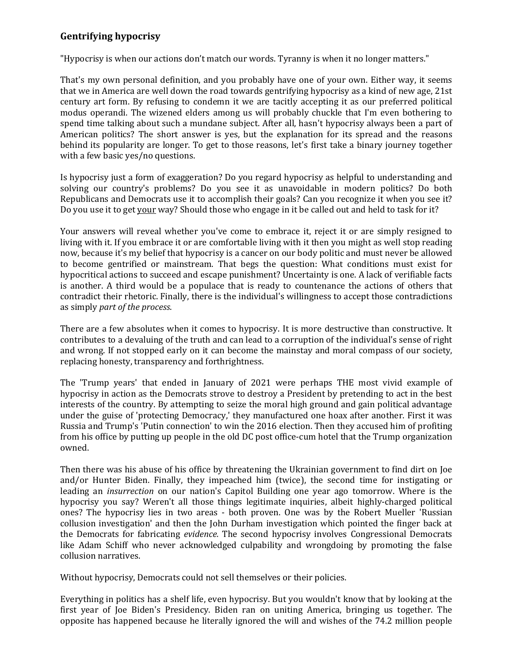## **Gentrifying hypocrisy**

"Hypocrisy is when our actions don't match our words. Tyranny is when it no longer matters."

That's my own personal definition, and you probably have one of your own. Either way, it seems that we in America are well down the road towards gentrifying hypocrisy as a kind of new age, 21st century art form. By refusing to condemn it we are tacitly accepting it as our preferred political modus operandi. The wizened elders among us will probably chuckle that I'm even bothering to spend time talking about such a mundane subject. After all, hasn't hypocrisy always been a part of American politics? The short answer is yes, but the explanation for its spread and the reasons behind its popularity are longer. To get to those reasons, let's first take a binary journey together with a few basic yes/no questions.

Is hypocrisy just a form of exaggeration? Do you regard hypocrisy as helpful to understanding and solving our country's problems? Do you see it as unavoidable in modern politics? Do both Republicans and Democrats use it to accomplish their goals? Can you recognize it when you see it? Do you use it to get your way? Should those who engage in it be called out and held to task for it?

Your answers will reveal whether you've come to embrace it, reject it or are simply resigned to living with it. If you embrace it or are comfortable living with it then you might as well stop reading now, because it's my belief that hypocrisy is a cancer on our body politic and must never be allowed to become gentrified or mainstream. That begs the question: What conditions must exist for hypocritical actions to succeed and escape punishment? Uncertainty is one. A lack of verifiable facts is another. A third would be a populace that is ready to countenance the actions of others that contradict their rhetoric. Finally, there is the individual's willingness to accept those contradictions as simply *part of the process*.

There are a few absolutes when it comes to hypocrisy. It is more destructive than constructive. It contributes to a devaluing of the truth and can lead to a corruption of the individual's sense of right and wrong. If not stopped early on it can become the mainstay and moral compass of our society, replacing honesty, transparency and forthrightness.

The 'Trump years' that ended in January of 2021 were perhaps THE most vivid example of hypocrisy in action as the Democrats strove to destroy a President by pretending to act in the best interests of the country. By attempting to seize the moral high ground and gain political advantage under the guise of 'protecting Democracy,' they manufactured one hoax after another. First it was Russia and Trump's 'Putin connection' to win the 2016 election. Then they accused him of profiting from his office by putting up people in the old DC post office-cum hotel that the Trump organization owned.

Then there was his abuse of his office by threatening the Ukrainian government to find dirt on Joe and/or Hunter Biden. Finally, they impeached him (twice), the second time for instigating or leading an *insurrection* on our nation's Capitol Building one year ago tomorrow. Where is the hypocrisy you say? Weren't all those things legitimate inquiries, albeit highly-charged political ones? The hypocrisy lies in two areas - both proven. One was by the Robert Mueller 'Russian collusion investigation' and then the John Durham investigation which pointed the finger back at the Democrats for fabricating *evidence.* The second hypocrisy involves Congressional Democrats like Adam Schiff who never acknowledged culpability and wrongdoing by promoting the false collusion narratives.

Without hypocrisy, Democrats could not sell themselves or their policies.

Everything in politics has a shelf life, even hypocrisy. But you wouldn't know that by looking at the first year of Joe Biden's Presidency. Biden ran on uniting America, bringing us together. The opposite has happened because he literally ignored the will and wishes of the 74.2 million people